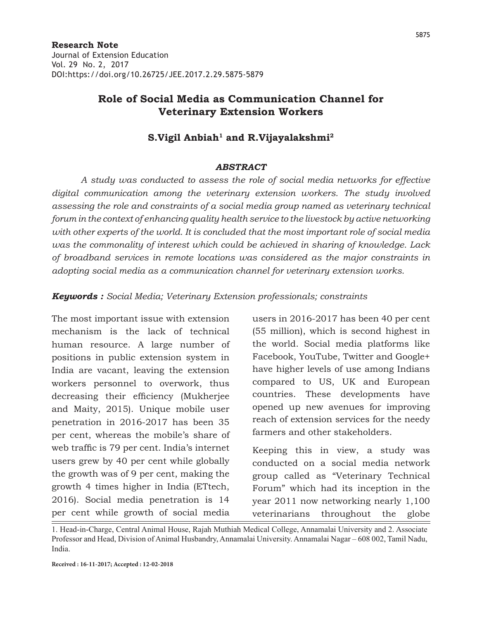## **Role of Social Media as Communication Channel for Veterinary Extension Workers**

## S.Vigil Anbiah<sup>1</sup> and R.Vijayalakshmi<sup>2</sup>

#### *ABSTRACT*

*A study was conducted to assess the role of social media networks for effective digital communication among the veterinary extension workers. The study involved assessing the role and constraints of a social media group named as veterinary technical forum in the context of enhancing quality health service to the livestock by active networking with other experts of the world. It is concluded that the most important role of social media was the commonality of interest which could be achieved in sharing of knowledge. Lack of broadband services in remote locations was considered as the major constraints in adopting social media as a communication channel for veterinary extension works.* 

*Keywords : Social Media; Veterinary Extension professionals; constraints*

The most important issue with extension mechanism is the lack of technical human resource. A large number of positions in public extension system in India are vacant, leaving the extension workers personnel to overwork, thus decreasing their efficiency (Mukherjee and Maity, 2015). Unique mobile user penetration in 2016-2017 has been 35 per cent, whereas the mobile's share of web traffic is 79 per cent. India's internet users grew by 40 per cent while globally the growth was of 9 per cent, making the growth 4 times higher in India (ETtech, 2016). Social media penetration is 14 per cent while growth of social media

users in 2016-2017 has been 40 per cent (55 million), which is second highest in the world. Social media platforms like Facebook, YouTube, Twitter and Google+ have higher levels of use among Indians compared to US, UK and European countries. These developments have opened up new avenues for improving reach of extension services for the needy farmers and other stakeholders.

Keeping this in view, a study was conducted on a social media network group called as "Veterinary Technical Forum" which had its inception in the year 2011 now networking nearly 1,100 veterinarians throughout the globe

<sup>1.</sup> Head-in-Charge, Central Animal House, Rajah Muthiah Medical College, Annamalai University and 2. Associate Professor and Head, Division of Animal Husbandry, Annamalai University. Annamalai Nagar – 608 002, Tamil Nadu, India.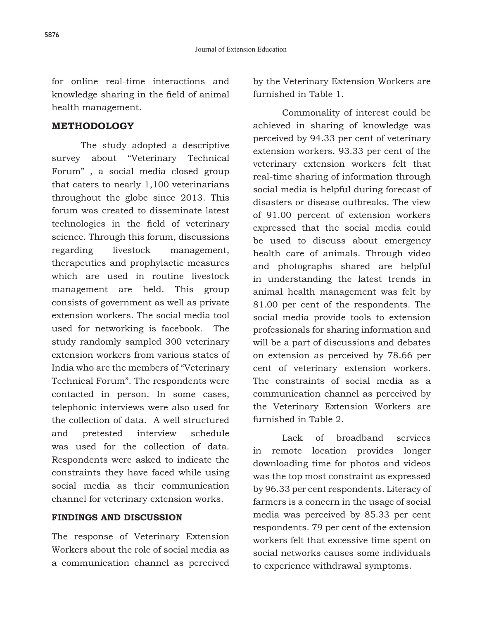for online real-time interactions and knowledge sharing in the field of animal health management.

#### **METHODOLOGY**

The study adopted a descriptive survey about "Veterinary Technical Forum" , a social media closed group that caters to nearly 1,100 veterinarians throughout the globe since 2013. This forum was created to disseminate latest technologies in the field of veterinary science. Through this forum, discussions regarding livestock management, therapeutics and prophylactic measures which are used in routine livestock management are held. This group consists of government as well as private extension workers. The social media tool used for networking is facebook. The study randomly sampled 300 veterinary extension workers from various states of India who are the members of "Veterinary Technical Forum". The respondents were contacted in person. In some cases, telephonic interviews were also used for the collection of data. A well structured and pretested interview schedule was used for the collection of data. Respondents were asked to indicate the constraints they have faced while using social media as their communication channel for veterinary extension works.

#### **FINDINGS AND DISCUSSION**

The response of Veterinary Extension Workers about the role of social media as a communication channel as perceived by the Veterinary Extension Workers are furnished in Table 1.

Commonality of interest could be achieved in sharing of knowledge was perceived by 94.33 per cent of veterinary extension workers. 93.33 per cent of the veterinary extension workers felt that real-time sharing of information through social media is helpful during forecast of disasters or disease outbreaks. The view of 91.00 percent of extension workers expressed that the social media could be used to discuss about emergency health care of animals. Through video and photographs shared are helpful in understanding the latest trends in animal health management was felt by 81.00 per cent of the respondents. The social media provide tools to extension professionals for sharing information and will be a part of discussions and debates on extension as perceived by 78.66 per cent of veterinary extension workers. The constraints of social media as a communication channel as perceived by the Veterinary Extension Workers are furnished in Table 2.

Lack of broadband services in remote location provides longer downloading time for photos and videos was the top most constraint as expressed by 96.33 per cent respondents. Literacy of farmers is a concern in the usage of social media was perceived by 85.33 per cent respondents. 79 per cent of the extension workers felt that excessive time spent on social networks causes some individuals to experience withdrawal symptoms.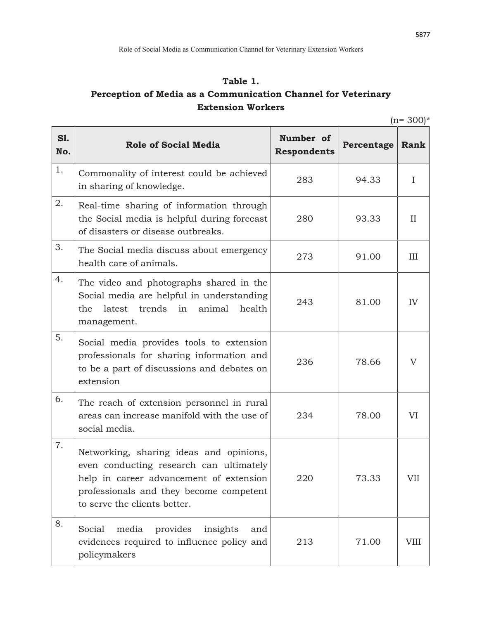# **Table 1. Perception of Media as a Communication Channel for Veterinary Extension Workers**

 $(n= 300)*$ 

| S1.<br>No. | <b>Role of Social Media</b>                                                                                                                                                                              | Number of<br><b>Respondents</b> | Percentage | Rank         |
|------------|----------------------------------------------------------------------------------------------------------------------------------------------------------------------------------------------------------|---------------------------------|------------|--------------|
| 1.         | Commonality of interest could be achieved<br>in sharing of knowledge.                                                                                                                                    | 283                             | 94.33      | $\mathbf{I}$ |
| 2.         | Real-time sharing of information through<br>the Social media is helpful during forecast<br>of disasters or disease outbreaks.                                                                            | 280                             | 93.33      | $_{\rm II}$  |
| 3.         | The Social media discuss about emergency<br>health care of animals.                                                                                                                                      | 273                             | 91.00      | III          |
| 4.         | The video and photographs shared in the<br>Social media are helpful in understanding<br>trends in animal<br>health<br>latest<br>the<br>management.                                                       | 243                             | 81.00      | IV           |
| 5.         | Social media provides tools to extension<br>professionals for sharing information and<br>to be a part of discussions and debates on<br>extension                                                         | 236                             | 78.66      | V            |
| 6.         | The reach of extension personnel in rural<br>areas can increase manifold with the use of<br>social media.                                                                                                | 234                             | 78.00      | VI           |
| 7.         | Networking, sharing ideas and opinions,<br>even conducting research can ultimately<br>help in career advancement of extension<br>professionals and they become competent<br>to serve the clients better. | 220                             | 73.33      | VII          |
| 8.         | provides<br>insights<br>Social<br>media<br>and<br>evidences required to influence policy and<br>policymakers                                                                                             | 213                             | 71.00      | <b>VIII</b>  |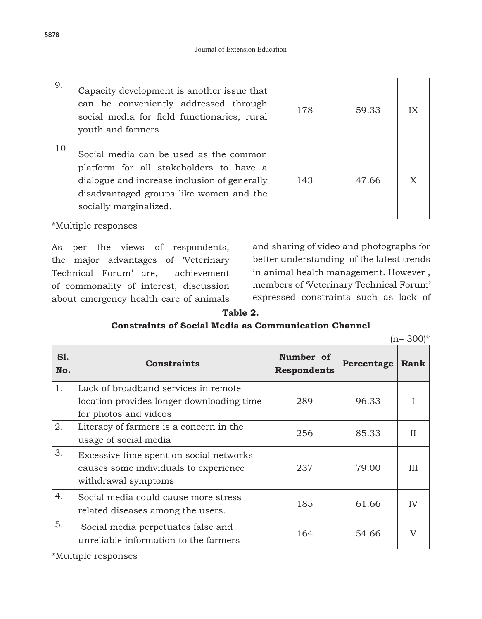| 9. | Capacity development is another issue that<br>can be conveniently addressed through<br>social media for field functionaries, rural<br>youth and farmers                                                | 178 | 59.33 | IX |
|----|--------------------------------------------------------------------------------------------------------------------------------------------------------------------------------------------------------|-----|-------|----|
| 10 | Social media can be used as the common<br>platform for all stakeholders to have a<br>dialogue and increase inclusion of generally<br>disadvantaged groups like women and the<br>socially marginalized. | 143 | 47.66 |    |

\*Multiple responses

As per the views of respondents, the major advantages of 'Veterinary Technical Forum' are, achievement of commonality of interest, discussion about emergency health care of animals

and sharing of video and photographs for better understanding of the latest trends in animal health management. However , members of 'Veterinary Technical Forum' expressed constraints such as lack of

#### **Table 2.**

### **Constraints of Social Media as Communication Channel**

| ın= | $(300)*$ |  |
|-----|----------|--|
|     |          |  |

| <b>S1.</b><br>No. | <b>Constraints</b>                                                               | Number of<br><b>Respondents</b> | Percentage | Rank |
|-------------------|----------------------------------------------------------------------------------|---------------------------------|------------|------|
| 1.                | Lack of broadband services in remote                                             |                                 |            |      |
|                   | location provides longer downloading time                                        | 289                             | 96.33      |      |
|                   | for photos and videos                                                            |                                 |            |      |
| 2.                | Literacy of farmers is a concern in the                                          | 256                             | 85.33      | Н    |
|                   | usage of social media                                                            |                                 |            |      |
| 3.                | Excessive time spent on social networks<br>causes some individuals to experience | 237                             | 79.00      | Ш    |
|                   | withdrawal symptoms                                                              |                                 |            |      |
| 4.                | Social media could cause more stress<br>related diseases among the users.        | 185                             | 61.66      | IV   |
|                   |                                                                                  |                                 |            |      |
| 5.                | Social media perpetuates false and<br>unreliable information to the farmers      | 164                             | 54.66      |      |

\*Multiple responses